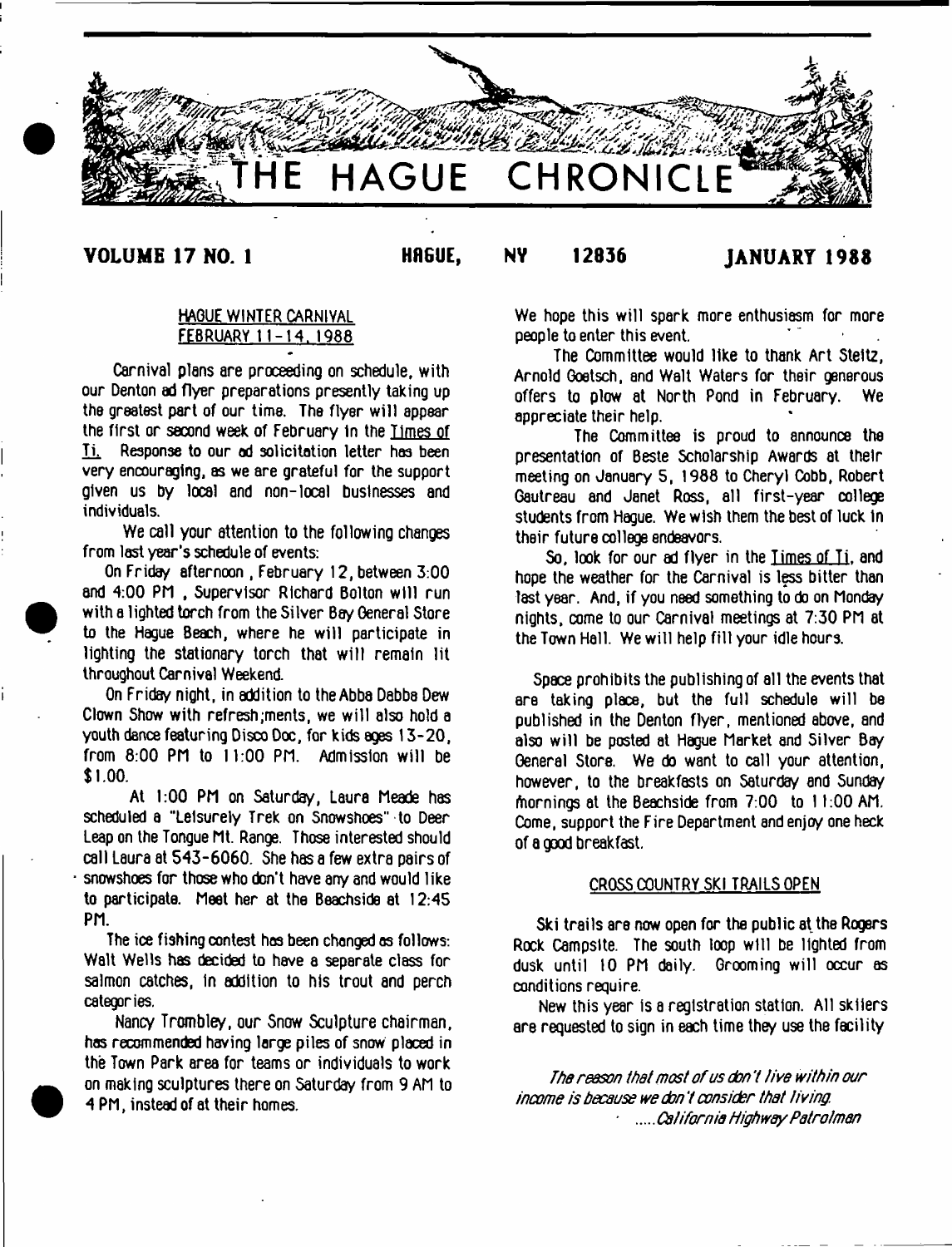

# VOLUME 17 NO. I HAGUE, NV 12836 JANUARY 1988

I

# HAQUE WINTER CARNIVAL FEBRUARY 11-14. 1988

Carnival plans are proceeding on schedule, with our Denton ad flyer preparations presently taking up the greatest part of our time. The flyer will appear the first or second week of February in the limes of Ti. Response to our ad solicitation letter has been very encouraging, as we are grateful for the support given us by local and non-local businesses and individuals.

We call your attention to the following changes from last year's schedule of events:

On Friday afternoon , February 12, between 3:00 and 4:00 PM , Supervisor Richard Bolton will run with a lighted torch from the Silver Bay General Store to the Hague Beach, where he will participate in lighting the stationary torch that will remain lit throughout Carnival Weekend.

On Friday night, in addition to the Abba Dabba Dew Clown Show with refresh;ments, we will also hold a youth dance featuring Disco Doc, for kids ages 13-20, from 8:00 PM to 11:00 PM. Admission will be 1.00.

At 1:00 PM on Saturday, Laura Meade has scheduled a ''Leisurely Trek on Snowshoes" to Deer Leap on the Tongue Mt. Range. Those interested should call Laura at 543-6060. She has a few extra pairs of snowshoes for those who don't have any and would like to participate. Meet her at the Beachside at 12:45 PM.

The ice fishing contest hoe been changed as follows: Walt Wells has decided to have a separate class for salmon catches, in addition to his trout and perch categories.

Nancy Trombley, our Snow Sculpture chairman, has recommended having large piles of snow placed in the Town Park area for teams or individuals to work on making sculptures there on Saturday from 9 AM to 4 PM, instead of at their homes.

We hope this will spark more enthusiasm for more people to enter this event.

The Committee would like to thank Art Steltz, Arnold Goetsch, and Walt Waters for their generous offers to plow at North Pond in February. We appreciate their help.

The Committee is proud to announce the presentation of Beste Scholarship Awards at their meeting on January 5, 1988 to Cheryl Cobb, Robert Gautreau and Janet Ross, all first-year college students from Hague. We wish them the best of luck In their future college endeavors.

So, look for our ad flyer in the Times of Ti. and hope the weather for the Carnival is less bitter than last year. And, if you need something to do on Monday nights, come to our Carnival meetings at 7:30 PM at the Town Hall. We will help fill your idle hours.

Space prohibits the publishing of all the events that are taking place, but the full schedule will be published in the Denton flyer, mentioned above, and also will be posted at Hague Market and Silver Bay General Store. We do want to call your attention, however, to the breakfasts on Saturday and Sunday friornings at the Beachside from 7:00 to 11:00 AM. Come, support the Fire Department and enjoy one heck of a good breakfast.

### CROSS COUNTRY SKI TRAILS OPEN

Ski trails are now open for the public at the Rogers Rock Campsite. The south loop will be lighted from dusk until 10 PM daily. Grooming will occur as conditions require.

New this year is a registration station. All skiiers are requested to sign in each time they use the facility

*The reason that most o f us don* 7 *live within our income is because we don* 7 *consider that living. California Highway Patrolman*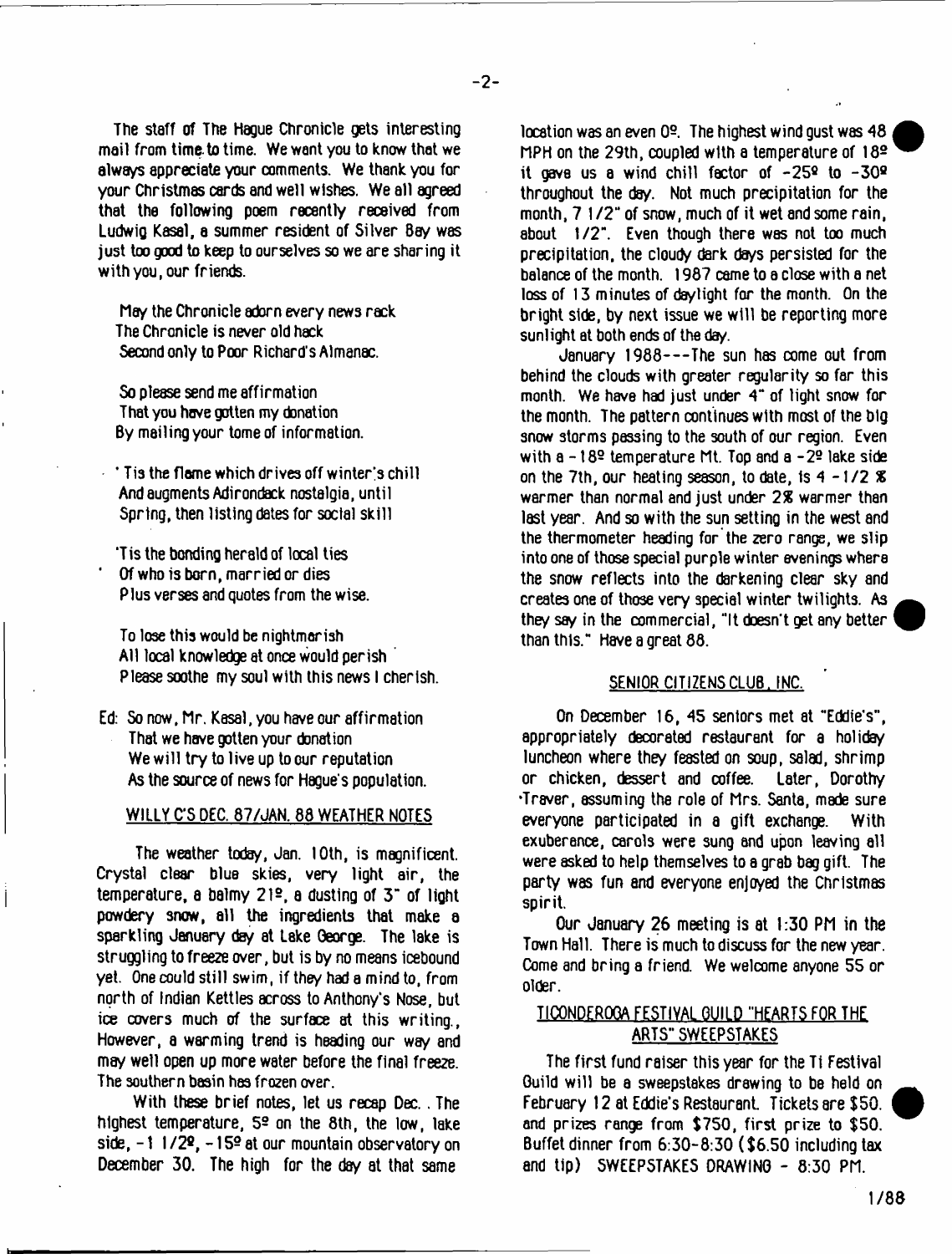The staff of The Hague Chronicle gets interesting mail from time, to time. We want you to know that we always appreciate your comments. We thank you for your Christmas cards and well wishes. We all agreed that the following poem recently received from Ludwig Kasai, a summer resident of Silver Bay was just too good to keep to ourselves so we are sharing it with you, our friends.

May the Chronicle adorn every news rack The Chronicle is never old hack Second only to Poor Richard's Almanac.

So please send me affirmation That you have gotten my donation By mailing your tome of information.

- $'$  Tis the flame which drives off winter's chill And augments Adirondack nostalgia, until Spring, then listing dates for social skill
- 'Tis the bonding herald of local ties ' Of who is born, married or dies Plus verses and quotes from the wise.

To lose this would be nightmarish All local knowledge at once would perish ' Please soothe my soul with this news I cherish.

Ed: So now, Mr. Kasai, you have our affirmation That we have gotten your donation We will try to live up to our reputation As the source of news for Hague's population.

## WILLY C'S DEC. 87/JAN. 88 WEATHER NOTES

The weather today, Jan. 10th, is magnificent. Crystal clear blue skies, very light air, the temperature, a balmy 212, a dusting of 3" of light powdery snow, all the ingredients that make a sparkling January day at Lske George. The lake is struggling to freeze over, but is by no means icebound yet. One could still swim, if they had a mind to, from north of Indian Kettles across to Anthony's Nose, but ice covers much of the surface at this writing., However, a warming trend is heading our way and may well open up more water before the final freeze. The southern basin has frozen over.

With these brief notes, let us recap Dec.. The highest temperature, 52 on the 8th, the low, lake side,  $-1$  1/2<sup>2</sup>,  $-15$ <sup>2</sup> at our mountain observatory on December 30. The high for the day at that same

location was an even 0®. The highest wind gust was 48 MPH on the 29th, coupled with a temperature of I82 it gave us a wind chill factor of  $-25^{\circ}$  to  $-30^{\circ}$ throughout the day. Not much precipitation for the month, 7 1/2" of snow, much of it wet and some rain, about 1/2". Even though there was not too much precipitation, the cloudy dark days persisted for the balance of the month. 1987 came to a close with a net loss of 13 minutes of daylight for the month. On the bright side, by next issue we will be reporting more sunlight at both ends of the day.

January 1988— The sun has come out from behind the clouds with greater regularity so far this month. We have had just under 4" of light snow for the month. The pattern continues with most of the big snow storms passing to the south of our region. Even with  $a - 189$  temperature Mt. Top and  $a - 29$  lake side on the 7th, our heating season, to date, is 4 -1 /2 *%* warmer than normal and just under *2%* warmer than last year. And so with the sun setting in the west and the thermometer heading for the zero range, we slip into one of those special purple winter evenings where the snow reflects into the darkening clear sky and creates one of those very special winter twilights. As they say in the commercial, "It doesn't get any better than this." Have a great 88.

#### SENIOR CITIZENS CLUB. INC.

On December 16, 45 sentors met at "Eddie's", appropriately decorated restaurant for a holiday luncheon where they feasted on soup, salad, shrimp or chicken, dessert and coffee. Later, Dorothy •Traver, assuming the role of Mrs. Santa, made sure everyone participated in a gift exchange. With exuberance, carols were sung and upon leaving all were asked to help themselves to a grab bag gift. The party was fun and everyone enjoyed the Christmas spirit.

Our January 26 meeting is at 1:30 PM in the Town Hall. There is much to discuss for the new year. Come and bring a friend. We welcome anyone 55 or older.

## TICQNDERQQA FESTIVAL QUILD "HEARTS FOR THE ARTS" SWEEPSTAKES

The first fund raiser this year for the Ti Festival Guild will be a sweepstakes drawing to be held on February 12 at Eddie's Restaurant. Tickets are \$50. and prizes range from \$750, first prize to \$50. Buffet dinner from 6:30-8:30 (\$6.50 including tax and tip) SWEEPSTAKES DRAWING - 8:30 PM.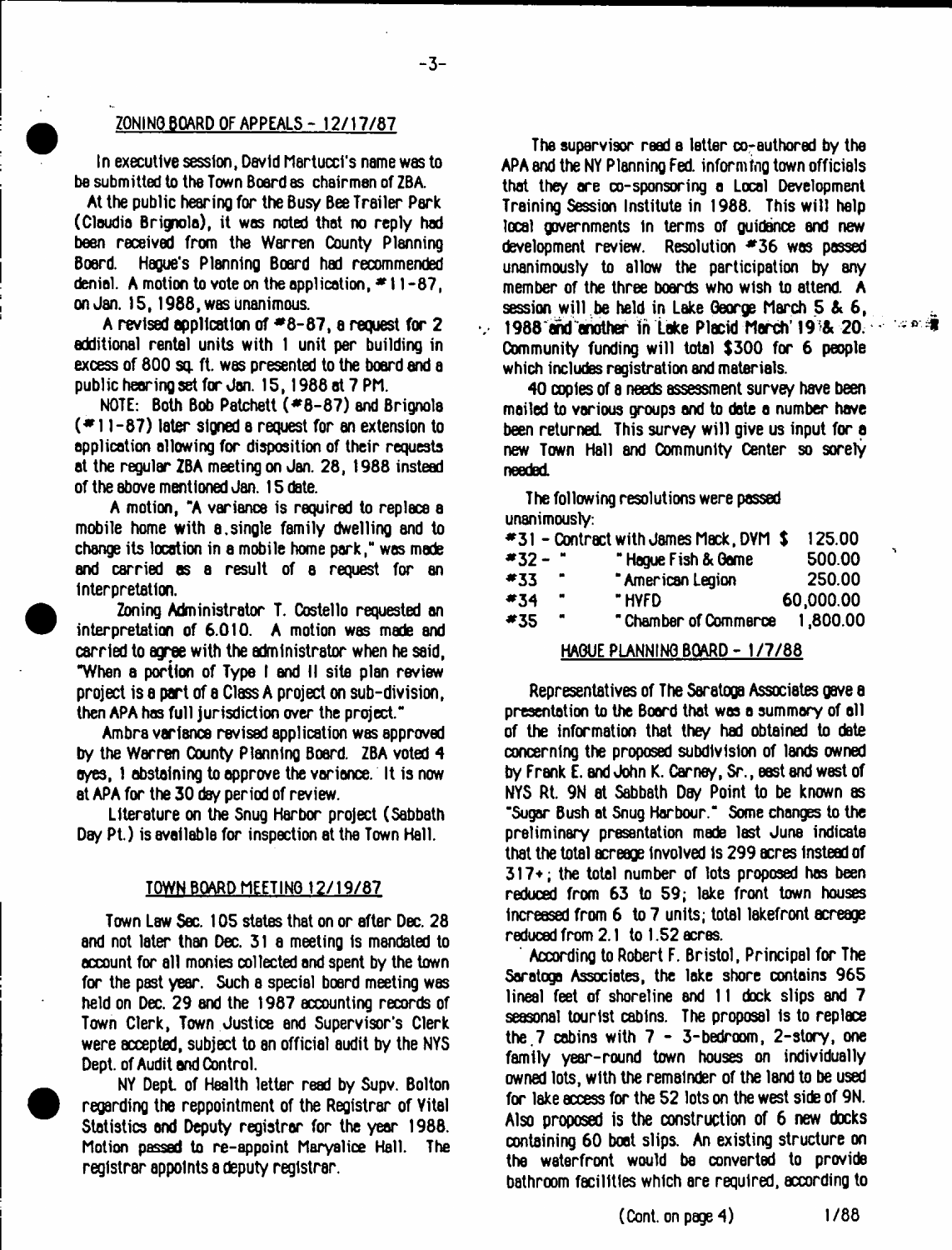## ZONINO BOARD OF APPEALS - 12/17/87

-3-

In executive session, David Martucci's name was to be submitted to tbe Town Board as chairmen of ZBA.

At the public hearing for the Busy Bee Trailer Park (Claudia Brignola), it was noted that no reply had been received from the Warren County Planning Board. Hague's Planning Board had recommended denial. A motion to vote on the application,  $*11-87$ , on Jan. 15,1988, was unanimous.

A revised application of  $*8-87$ , a request for 2 additional rental units with 1 unit per building in excess of 800 sq. ft. was presented to the board and a public hearing set for Jan. 15,1986 at 7 Ph.

NOTE: Both Bob Patchett (#8-87) and Brignola ( \* 11-87) later signed a request for an extension to application allowing for disposition of their requests at the regular ZBA meeting on Jan. 28, 1988 instead of the above mentioned Jan. 15 date.

A motion, "A variance is required to replace a mobile home with a.single family dwelling and to change its location in a mobile home park," was made and carried as a result of a request for an Interpretation.

Zoning Administrator T. Costello requested an interpretation of 6.010. A motion was made and carried to agree with the administrator when he said, "When a portion of Type I and II site plan review project is a part of a Class A project on sub-division, then APA has full jurisdiction over the project."

Ambra variance revised application was approved by the Warren Oounty Planning Board. ZBA voted 4 eyes, 1 abstaining to approve the variance. It is now at APA for the 30 day period of review.

Literature on the Snug Harbor project (Sabbath Day Pt.) is available for inspection at the Town Hall.

## TOWN BOARD MEETING 12/19/87

Town Law Sec. 105 states that on or after Dec. 28 and not later than Dec. 31 a meeting is mandated to account for all monies collected and spent by the town for the past year. Such a special board meeting was held on Dec. 29 and the 1987 accounting records of Town Clerk, Town Justice and Supervisor's Clerk were accepted, subject to an official audit by the NYS Dept, of Audit and Control.

NY Dept of Health letter read by Supv. Bolton regarding the reppointment of the Registrar of Vital Statistics and Deputy registrar for the year 1988. Motion passed to re-appoint Maryalice Hall. The registrar appoints a deputy registrar.

The supervisor reed a letter co-authored by the APA and the NY Planning Fed. informing town officials that they are co-sponsoring a Local Development Training Session Institute in 1988. This will help local governments In terms of guidance end new development review. Resolution #36 was passed unanimously to allow the participation by any member of the three boards who wish to attend. A session will be held in Lake George March 5 & 6, 1988 and another in Lake Placid March' 19>& 20. Community funding will total  $$300$  for 6 people which includes registration and materials.

း အစည်း

40 copies of a needs assessment survey have been mailed to various groups and to date a number have been returned. This survey will give us input for a new Town Hall and Community Center so sorely needed.

The following resolutions were passed unanimously:

|         |   | #31 - Contract with James Mack, DVM \$ | 125.00    |
|---------|---|----------------------------------------|-----------|
| *32 - " |   | "Haque Fish & Game                     | 500.00    |
| #33     |   | * American Legion                      | 250.00    |
| *34     |   | " HYFD                                 | 60,000.00 |
| #35     | и | " Chamber of Commerce                  | 1,800.00  |
|         |   |                                        |           |

## HAGUE PLANNING BOARD - 1/7/88

Representatives of The Saratoga Associates gave a presentation to the Board that was a summary of all of the information that they had obtained to date concerning the proposed subdivision of lands owned by Frank E. and John K. Carney, Sr., east and west of NYS Rt. 9N at Sabbath Day Point to be known as "Sugar Bush at Snug Harbour." Some changes to the preliminary presentation made last June indicate that the total acreage involved is 299 acres instead of 317+; the total number of lots proposed has been reduced from 63 to 59; lake front town houses Increased from 6 to 7 units; total lekefront acreage reduced from 2.1 to 1.52 acres.

According to Robert F. Bristol, Principal for The Saratoga Associates, the lake shore contains 965 lineal feet of shoreline and 11 dock slips and 7 seasonal tourist cabins. The proposal is to replace the  $7$  cabins with  $7 - 3$ -bedroom,  $2$ -story, one family year-round town houses on individually owned lots, with the remainder of the land to be used for lake access for the 52 lots on the west side of 9N. Also proposed is the construction of 6 new docks containing 60 boat slips. An existing structure on the waterfront would ba converted to provide bathroom facilities which are required, according to

(Cont. on page 4) 1/88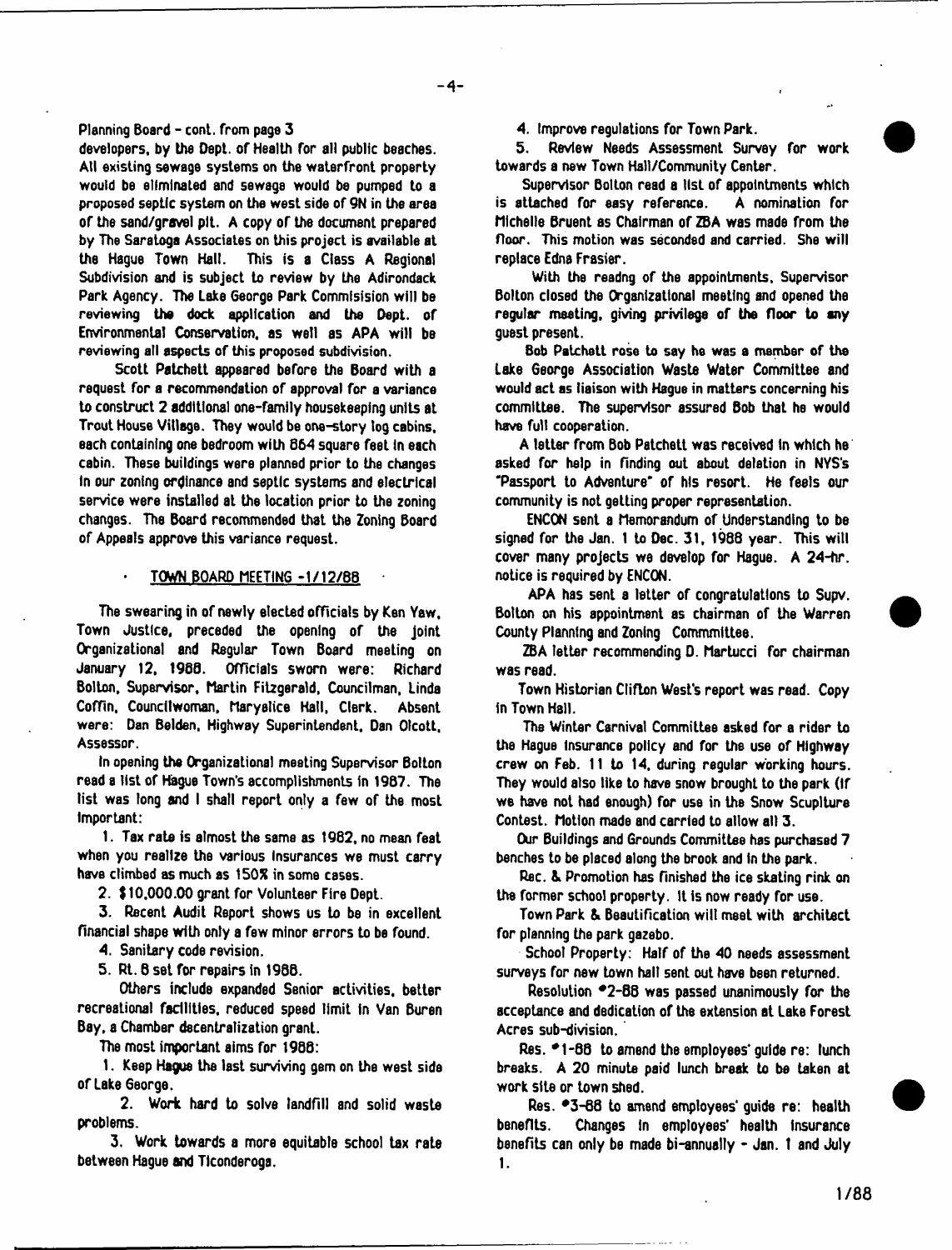**Planning Board - cont. from page 3**

**developers, by the Dept, of Health for all public beaches. Atl existing sewage systems on the waterfront property would be eliminated and sewage would be pumped to a proposed septic system on the west side of 9N in the area of the sand/grovel pit. A copy** or **the document prepared by The Saratoga Associates on this project is available at the Hague Town Hall. This is a Class A Regional Subdivision and is subject to review by the Adirondack Park Agency. The Lake George Park Commlsision will be reviewing the dock application and the Dept, of Environmental Conservation, as well as APA will be reviewing all aspects of this proposed subdivision.**

**Scott Patchett appeared before the Board with a request for a recommendation of approval for a variance to construct 2 additional one-family housekeeping units at Trout House Village. They would be one-story tog cabins, each containing one bedroom with 664 square feet In each cabin. These buildings were planned prior to the changes In our zoning ordinance and septic systems and electrical service were installed at the location prior to the zoning changes. The Board recommended that the Zoning Board of Appeals approve this variance request.**

#### **\* TOWN BOARD MEETING -1/12/8B**

**The swearing in of newly elected officials by Ken Yaw, Town Justice, preceded the opening of the joint Organizational and Regular Town Board meeting on January 12, I960. Officials sworn were: Richard Bolton, Supervisor, Martin Fitzgerald, Councilman, Linda** Coffin, Councilwoman, Maryalice Hall, Clerk. Absent **were: Dan Belden, Highway Superintendent, Dan Otcott, Assessor.**

**In opening the Organizational meeting Supervisor Bolton read a list of Hague Town's accomplishments in 1987. The list was long and I shall report only a few of the most Important:**

**1. Tax rate is almost the same as 1982, no mean feat when you realize the various Insurances we must carry have climbed as much as 150% in some cases.**

**2. \$ 10,000.00 grant for Volunteer Fire Dept.**

**3. Recent Audit Report shows us to be in excellent financial shape with only a few minor errors to be found.**

- **4. Sanitary code revision.**
- **5. Rt. 8 set for repairs in 1988.**

**Others include expanded Senior activities, better recreaLiona! facilities, reduced speed limit In Van Buren Bay, a Chamber decentralization grant.**

**The most important alms for 19S8:**

**1. Keep Hague the last surviving gem on the west side of Lake 6eorge,**

**2. Work hard to solve landfill and solid waste problems.**

**3. Work towards a more equitable school tax rate between Hague and Tlconderoga.**

**4. Improve regulations for Town Park.**

**5. Review Needs Assessment Survey for work towards a new Town Hall/Community Center.**

**Supervisor Bolton read a list of appointments which is attached for easy reference. A nomination for Michelle Bruent as Chairman of ZBA was made from the floor. This motion was seconded and carried. She will replace Edna Frasier.**

**With the readng of the appointments. Supervisor Bolton closed the Organizational meeting and opened the regular meeting, giving privilege of the floor to any guest present.**

**Bob Patchett rose to say he was a member of the Lake George Association Waste Water Committee and would act as liaison with Hague in matters concerning his committee. The supervisor assured Bob that he would have full cooperation.**

**A letter from Bob Patchett was received in which he asked for help in finding out about deletion in NYS's "Passport to Adventure' of his resort. He feels our community is not getting proper representation.**

**ENCON sent a Memorandum of Understanding to be signed for the Jan. 1 to Dec. 31, 1988 year. This will cover many projects we develop for Hague. A 24-hr. notice is required by ENCON.**

**APA has sent a letter of congratulations to Supv. Bolton on his appointment as chairman of the Warren County Planning and Zoning Commmittee.**

**ZBA letter recommending D. Martucci for chairman was read.**

**Town Historian ClifLon West's report was read. Copy in Town Hall.**

**The Winter Carnival CommiLtee asked for a rider to the Hague Insurance policy and for the use of Highway crew on Feb. 11 Lo 14, during regular working hours. They would also like to have snow brought to the park (If we have not had enough) for use in the Snow Scupiture Contest. Motion made and carried to allow all 3.**

**Our Buildings and Grounds Committee has purchased 7 benches to be placed along the brook and In the park.**

**Rec. & Promotion has finished the ice skating rink on the former school property, it is now ready for use.**

**Town Park & Beautification wilt meet with architect for planning the park gazebo.**

**School Property: Half of the 40 needs assessment surveys for new town hall sent out have bsen returned.**

Resolution  $\degree$ 2-88 was passed unanimously for the **acceptance and dedication of the extension at Lake Forest Acres sub-division.**

Res.  $*1$ -66 to amend the employees' guide re: lunch **breaks. A 20 minute paid lunch break to be taken at work site or town shed.**

Res.  $-3$ -66 to amend employees' guide re: health **benefits. Changes In employees' health Insurance benefits can only be made bi-annually - Jan. 1 and July** 1.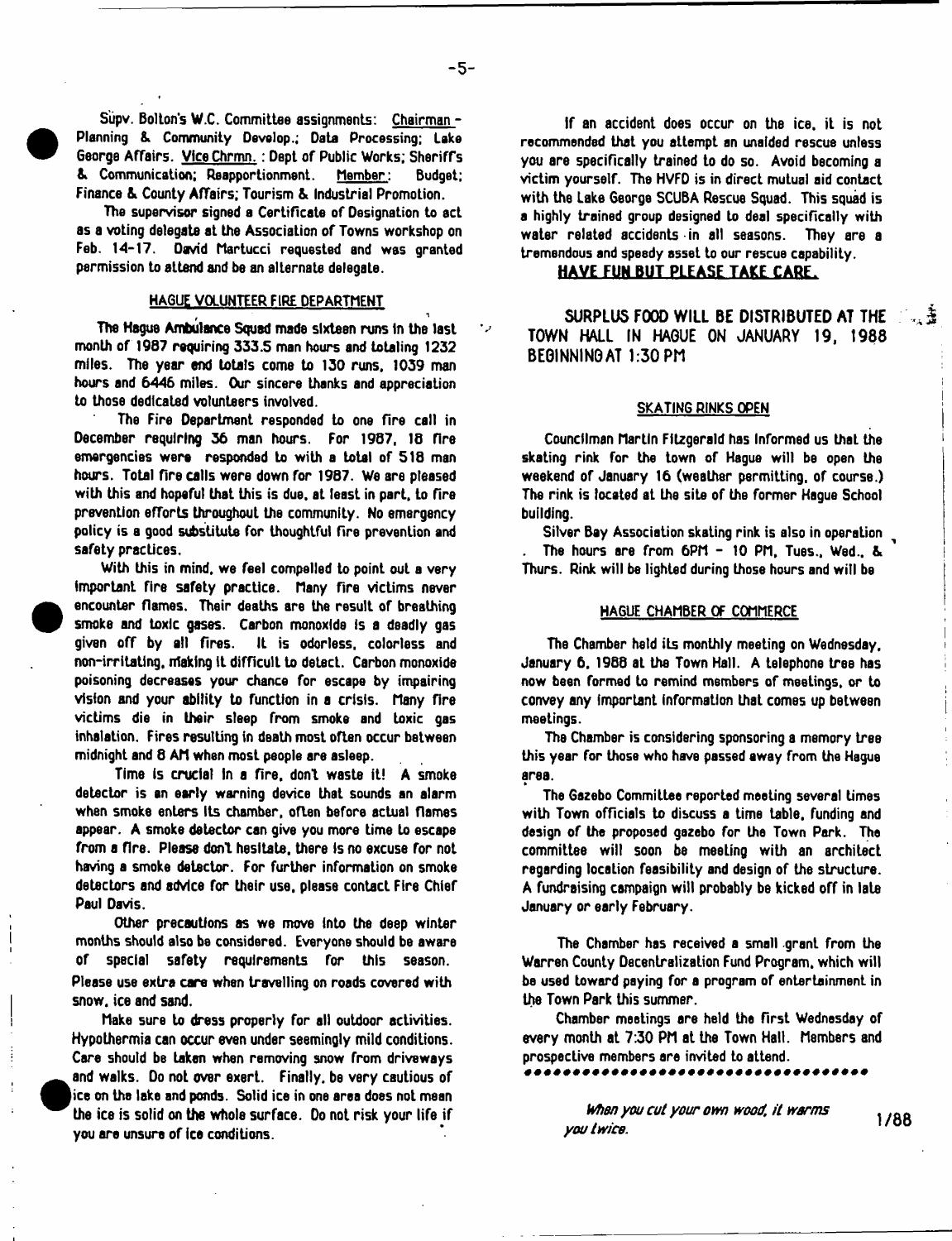**Siipv. Bolton's W.C. Committee assignments: Chairman - Planning & Community Develop.; Data Processing; Lake George Affairs. Vice Chrmn.: Dept of Public Works; Sheriffs & Communication; Reapportionment. Member: Budget; Finance & County Affairs; Tourism & Industrial Promotion.**

**The supervisor signed a Certificate of Designation to act as a voting delegate at the Association of Towns workshop on Feb. 14-17. David Martucci requested and was granted permission to attend and be an alternate delegaLe.**

#### **HAGUE VOLUNTEER FIRE DEPARTMENT**

**The Hague Ambulance Squad made sixteen runs In the last month of 1987 requiring 333.5 man hours and totaling 1232 miles. The year end totals come to 130 runs. 1039 man hours and 6446 miles. Our sincere thanks and appreciation to those dedicated volunteers involved.**

**The Fire Department responded to one fire call in December requiring 36 man hours. For 1987, 18 rire emergencies were responded Lo with a total of 518 man hours. Total fire calls were down for 1987. We are pleased with this and hopeful that this is due, at least in part, to fire prevention efTorts throughout the community. No emergency policy is a good substitute for thoughtful fire prevention and safety practices.**

**With this in mind, we feel compelled to point out a very Important fire safety practice. Many fire victims never encounter flames. Their deaths are the result of breathing smoke and toxic gases. Carbon monoxide is a deadly gas given off by all fires. It is odorless, colorless and non-irritating, making it difficult to detecL. Carbon monoxide poisoning decreases your chance for escape by impairing vision and your ability to function in a crisis. Many fire victims die in their sleep from smoke and toxic gas inhalation. Fires resulting In death most often occur between midnight and 8 AM when most people are asleep.**

**Time is crucial in a fire, don't waste it! A smoke detector is an early warning device that sounds an alarm when smoke enters its chamber, oflen before actual flames appear. A smoke detector can give you more Lime to escape from a fire. Please donl hesitate, there Is no excuse for not having a smoke delector. For further information on smoke detectors and advice for their use, please contact Fire Chief Paul Davis.**

**Other precautions as we move into the deep winter months should also be considered. Everyone should be aware of special safety requirements for this season. Please use extra care when travelling on roads covered with snow, ice and sand.**

**Make sure to dress properly for all outdoor activities. Hypothermia can** occur **even under seemingly mild conditions. Care should be taken when removing snow from driveways and walks. Do not over exert. Finally, be very cautious of |ice on the lake and ponds. Solid ice in one area does not mean the ice is solid on the whole surface. Do not risk your life if you are unsure of ice conditions.**

**If an accident does occur on the ice, it is not recommended that you attempt an unaided rescue unless you are specifically trained to do so. Avoid becoming a victim yourself. The HVFD is in direct mutual aid contact with the Lake George SCUBA Rescue Squad. This squad is a highly trained group designed to deal specifically with water related accidents in all seasons. They are a tremendous and speedy asset to our rescue capability.**

## HAVE FUN BUT PLEASE TAKE CARE.

SURPLUS FOOD WILL BE DISTRIBUTED AT THE TOWN HALL IN HAGUE ON JANUARY 19, 1988 BEGINNING AT 1:30 PM

 $\mathbb{R}^2$ 

#### **SKATING RINKS OPEN**

**Councilman Martin Fitzgerald has Informed us thaL the skating rink for the town of Hague will be open the weekend of January 16 (weather permitting, of course.) The rink is located at the site of the former Hague School building.**

**Silver Bay Association skating rink is also in operation The hours are from 6PM - 10 PM, Tues., Wed.. & Thurs. Rink will be lighted during those hours and will be**

#### **HAGUE CHAMBER OF COMMERCE**

**The Chamber held its monthly meeting on Wednesday, January 6. 1966 at the Town Hall. A telephone tree has now been formed to remind members of meetings, or to convey any important information that comes up between meetings.**

**The Chamber is considering sponsoring a memory tree this year for those who have passed away from the Hague area.**

**The Gazebo Committee reported meeting several times with Town officials to discuss a time table, funding and design of the proposed gazebo for the Town Park. The committee will soon be meeLing with an architect regarding location feasibility and design of the structure. A fundraising campaign wilt probably be kicked off in late January or early February.**

**The Chamber has received a smell grant from the Warren County Decentralization Fund Program, which wilt be used toward paying for a program of entertainment in the Town Park this summer.**

**Chamber meetings are held the first Wednesday of every month at 7:30 PM at the Town Hall. Members and prospective members are invited to attend.**

> *When you cut your own wood, it warms* you twice.<sup>17</sup>/88</sup>you twice.

ر •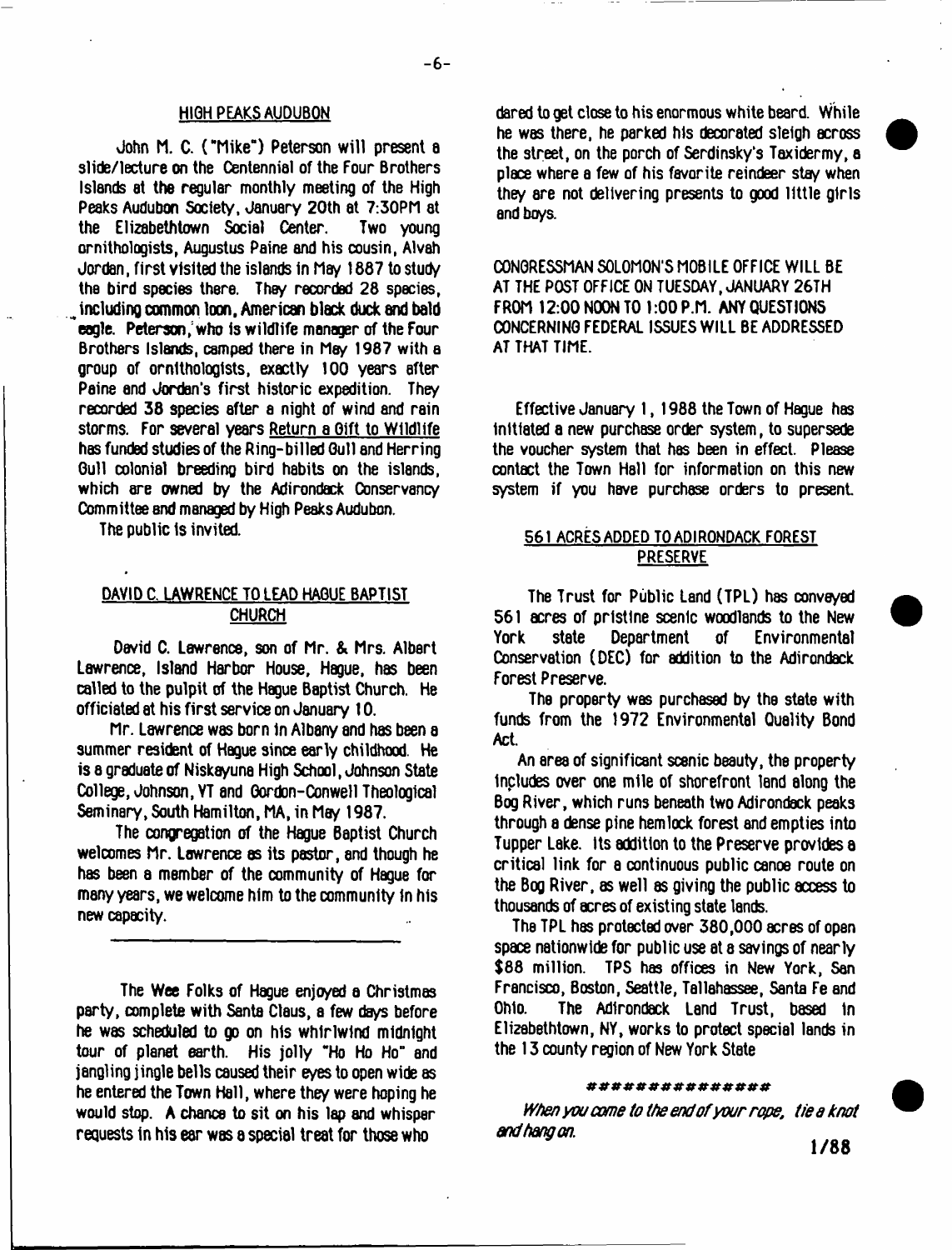#### HIGH PEAKS AUDUBON

John M. C. ( "Mike") Peterson w ill present a slide/lecture on the Centennial of the Four Brothers Islands at the regular monthly meeting of the High Peaks Audubon Society, January 20th at 7:30PM at the Elizabethtown Social Center. ornithologists, Augustus Paine and his cousin, Alvah Jordan, first visited the islands in May 1887 to study the bird species there. They recorded 28 species, including common loon, American black duck and bald ecale. Peterson, who is wildlife manager of the Four Brothers Islands, camped there in May 1987 with a group of ornithologists, exactly 100 years after Paine and Jordan's first historic expedition. They recorded 38 species after a night of wind and rain storms. For several years Return a Gift to Wildlife has funded studies of the Ring-billed Gull and Herring Gull colonial breeding bird habits on the islands, which are owned by the Adirondack Conservancy Committee and managed by High Peaks Audubon.

The public is invited.

## DAVID C. LAWRENCE TO LEAD HAGUE BAPTIST CHURCH

David C. Lawrence, son of Mr. & Mrs. Albert Lawrence, Island Harbor House, Hague, has been called to the pulpit of the Hague Baptist Church. He officiated at his first service on January 10.

Mr. Lawrence was born in Albany and has been a summer resident of Hague since early childhood. He is a graduate of Niskayuna High School, Johnson State College, Johnson, VT and Gordon-Conwell Theological Seminary, South Hamilton, MA, in May 1987.

The congregation of the Hague Baptist Church welcomes Mr. Lawrence as its pastor, and though he has been a member of the community of Hague for many years, we welcome him to the community in his new capacity.

The Wee Folks of Hague enjoyed a Christmas party, complete with Santa Claus, a few days before he was scheduled to go on his whirlwind midnight tour of planet earth. His jolly "Ho Ho Ho" and jangling jingle bells caused their eyes to open wide as he entered the Town Hall, where they were hoping he would stop. A chance to sit on his lap and whisper requests in his ear was a special treat for those who

dared to get close to his enormous white beard. While he was there, he parked his decorated sleigh across the street, on the porch of Serdinsky's Taxidermy, a place where a few of his favorite reindeer stay when they are not delivering presents to good little girls and boys.

CONGRESSMAN SOLOMON'S MOBILE OFFICE WILL BE AT THE POST OFFICE ON TUESDAY, JANUARY 26TH FROM 12:00 NOON TO 1:00 P.M. ANY QUESTIONS CONCERNING FEDERAL ISSUES WILL BE ADDRESSED AT THAT TIME.

Effective January 1, 1988 the Town of Hague has Initiated a new purchase order system, to supersede the voucher system that has been in effect. Please contact the Town Hall for information on this new system if you have purchase orders to present

# 561 ACRES ADDED TO ADIRONDACK FOREST PRESERVE

The Trust for Public Land (TPL) has conveyed 561 acres of pristine scenic woodlands to the New<br>York state Department of Environmental York state Department of Environmental Conservation (DEC) for addition to the Adirondack Forest Preserve.

The property was purchased by the state with funds from the 1972 Environmental Quality Bond Act.

An area of significant scsnic beauty, the property Includes over one mile of shorefront land along the Bog River, which runs beneath two Adirondack peaks through a dense pine hemlock forest and empties into Tupper Lake. Its addition to the Preserve provides a critical link for a continuous public canoe route on the Bog River, as well as giving the public access to thousands of acres of existing state lands.

The TPL has protected over 380,000 acres of open space nationwide for public use at a savings of nearly \$88 million. TPS has offices in New York, San Francisco, Boston, Seattle, Tallahassee, Santa Fe and Ohio. The Adirondack Land Trust, based in Elizabethtown, NY, works to protect special lands in the 13 county region of New York State

#### # # # *#■* # # # # # # # *» #* #

*When you come to the end ofyour rope, tie a knot and hang on.*

1/88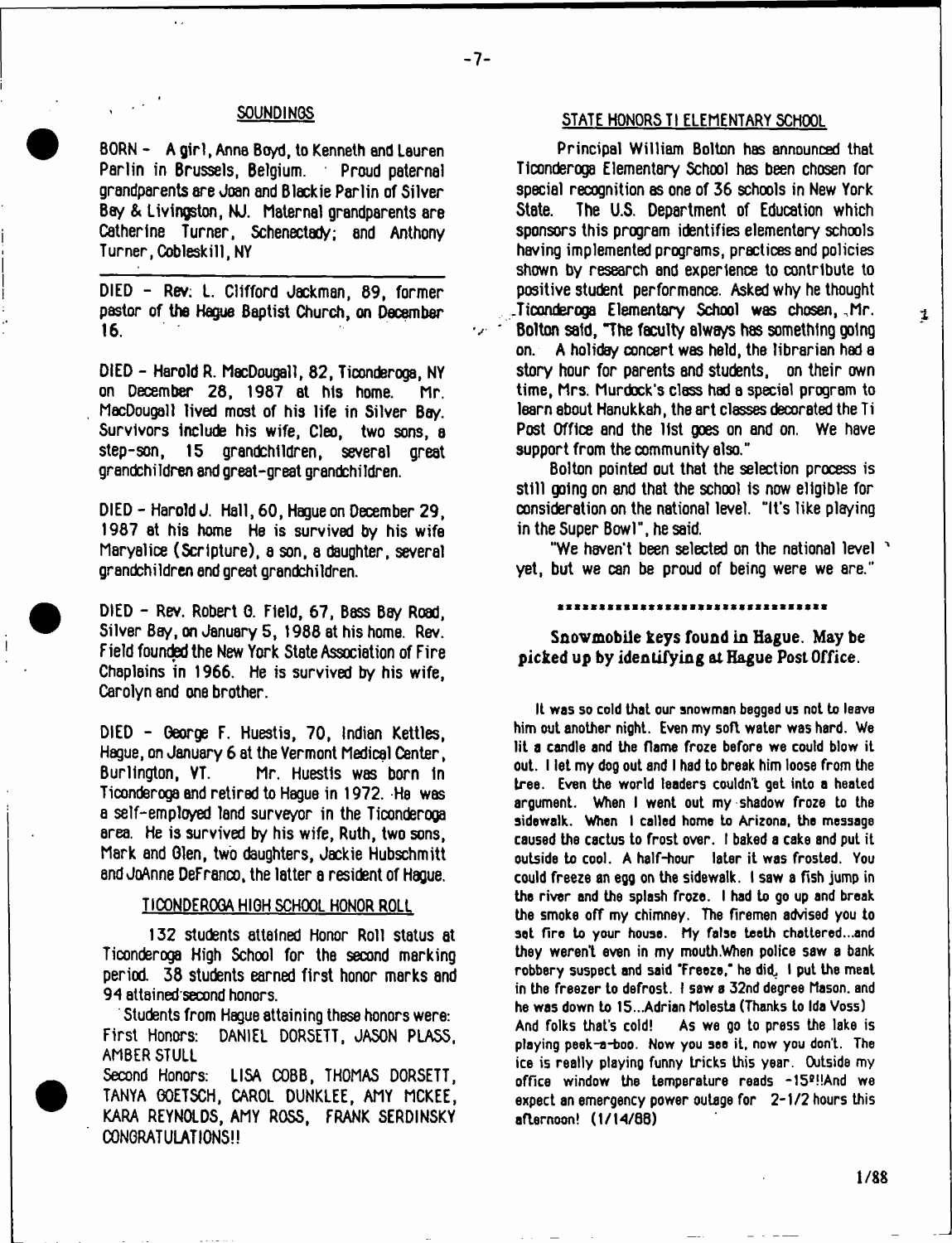### **SOUNDINGS**

BORN - A girl, Anna Boyd, to Kenneth and Lauren Parlin in Brussels, Belgium. Proud paternal grandparents are Joan and Blackie Parlin of Silver Bay & Livingston, NJ. Maternal grandparents are Catherine Turner, Schenectady; and Anthony Turner, Cobleskill, NY

DIED - Rev; L. Clifford Jackman, 69, former pastor of the Hague Baptist Church, on December 16.

DIED - Harold R. MacDougall, 82, Ticonderoga, NY on December 28, 1987 at his home. Mr. MacDougall lived most of his life in Silver Bay. Survivors include his wife, Cleo, two sons, a step-son, 15 grandchildren, several great grandchildren and great-great grandchildren.

DIED - Harold J. Hall, 60, Hague on December 29, 1987 at his home He is survived by his wife Maryalice (Scripture), a son, a daughter, several grandchildren end great grandchildren.

DIED - Rev. Robert 0. Field, 67, Bass Bay Road, Silver Bay, on January 5, 1988 at his home. Rev. Field founded the New York State Association of Fire Chaplains in 1966. He is survived by his wife, Carolyn and one brother.

DIED - George F. Huestis, 70, Indian Kettles, Hague, on January 6 at the Vermont Medical Center, Mr. Huestis was born in Ticonderoga and retired to Hague in 1972. He was a self-employed land surveyor in the Ticonderoga area. He is survived by his wife, Ruth, two sons, Mark and Glen, two daughters, Jackie Hubschmitt and JoAnne DeFranco, the latter a resident of Hague.

#### TICONDEROGA HIGH SCHOOL HONOR ROLL

132 students attained Honor Roll status at Ticonderoga High School for the second marking period. 38 students earned first honor marks and 94 attained second honors.

Students from Hague attaining these honors were: First Honors: DANIEL DORSETT, JASON PLASS, AMBER STULL

Second Honors: LISA COBB, THOMAS DORSETT, TANYA GOETSCH, CAROL DUNKLEE, AMY MCKEE, KARA REYNOLDS, AMY ROSS, FRANK SERDINSKY CONGRATULATIONS!!

#### STATE HONORS TI ELEMENTARY SCHOOL

Principal William Bolton has announced that Ticonderoga Elementary School has been chosen for special recognition as one of 36 schools in New York<br>State. The U.S. Department of Education which The U.S. Department of Education which sponsors this program identifies elementary schools having implemented programs, practices and policies shown by research and experience to contribute to positive student performance. Asked why he thought .Ticonderoga Elementary School was chosen, .Mr. Bolton said, "The faculty always has something going on. A holiday concert was held, the librarian had a story hour for parents and students, on their own time, Mrs. Murdock's class had a special program to learn about Hanukkah, the art classes decorated the Ti Post Office and the list goes on and on. We have support from the community also."

Bolton pointed out that the selection process is still going on and that the school is now eligible for consideration on the national level. "It's like playing in the Super Bowl", he said.

"We haven't been selected on the national level ' yet, but we can be proud of being were we are."

Snowmobile keys found in Hague. May be picked up by identifying at Hague Post Office.

**It was so cold that our snowman begged us not to leave him out another night. Even my soft water was hard. We lit a candle and the flame froze before we could blow it out. I let my dog out and I had to break him loose from the tree. Even the world leaders couldn't get into a heated argument. When I went out my shadow froze to the sidewalk. When I called home to Arizona, the message caused the cactus to frost over. I baked a cake and put it outside to cool. A half-hour later it was frosted. You could freeze an egg on the sidewalk. I saw a fish jump in the river and the splash froze. I had to go up and break the smoke off my chimney. The firemen advised you to set fire to your house. My false teeth chattered...and they weren't even in my mouth.When police saw a bank robbery suspect and said 'Freeze,' he did, I put the meat in the freezer to defrost. I saw a 32nd degree Mason, and he was down to 15...Adrian Molesta (Thanks to Ida Voss) And folks that's cold! As we go to press the lake is playing peek-a-boo. Now you see it, now you don't. The ice is really playing funny tricks this year. Oitside my** office window the temperature reads -15<sup>P!!And</sup> we expect an emergency power outage for 2-1/2 hours this **afternoon! (1/1 4/88 )**

 $\mathbf{1}$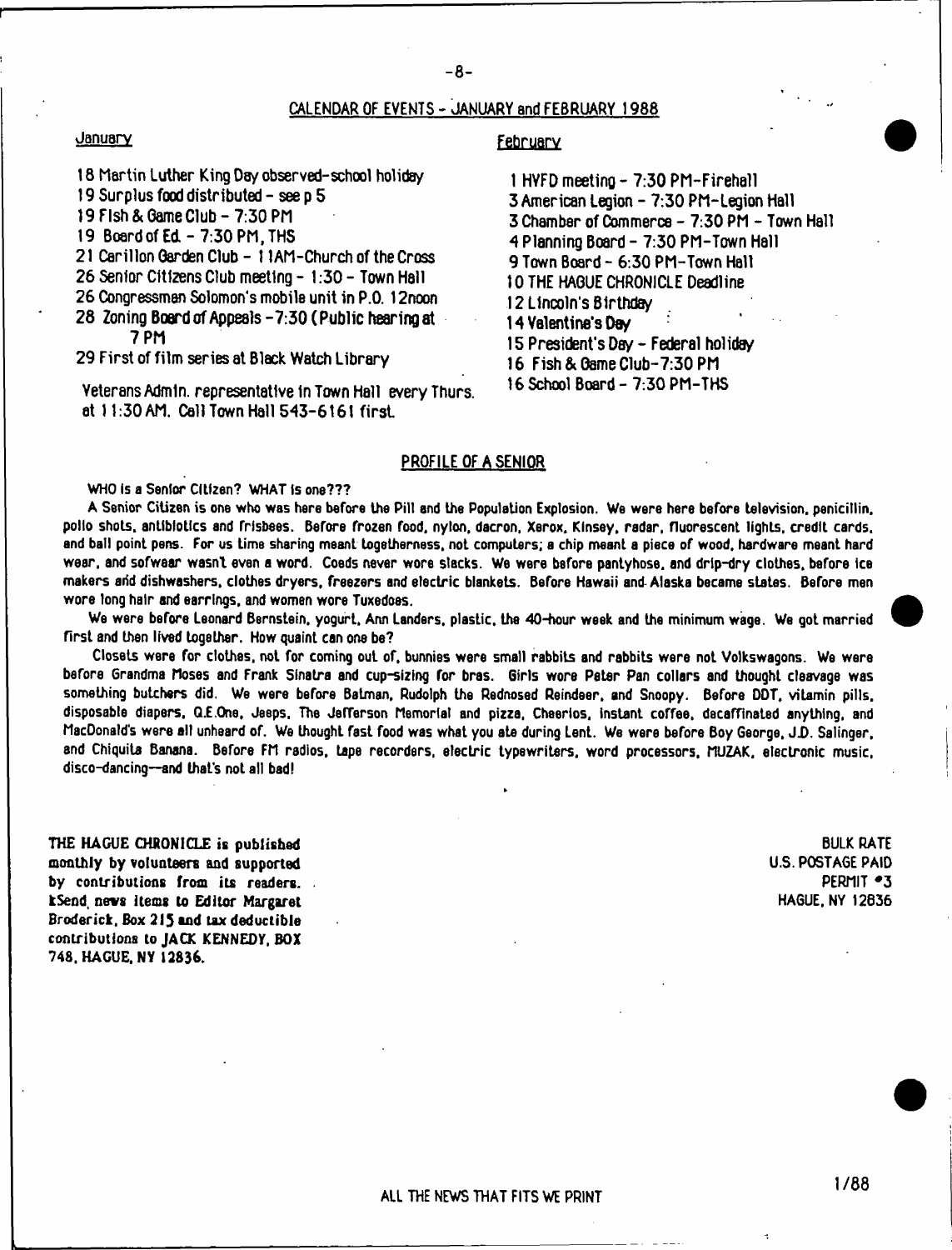## CALENDAR OF EVENTS - JANUARY and FEBRUARY 1988

#### **January**

### February

- 18 Martin Luther King Day observed-school holiday
- 19 Surplus food distributed see p 5
- 19 Fish & Game Club-7:30 PM
- 19 Board of Ed 7:30 PM, THS
- 21 Carillon Garden Club 11AM-Church of the Cross
- 26 Senior Citizens Club meeting 1:30 Town Hall
- 26 Congressman Solomon's mobile unit in P.O. 12noon
- 28 Zoning Board of Appeals -7:30 ( Public hearing at
- 7 PM

29 First of film series at Black Watch Library

Veterans Admin, representative in Town Hall every Thurs. at 11:30 AM. Call Town Hall 543-6161 first.

- 1 HYFD meeting 7:30 PM-Firehall 3 American Legion - 7:30 PM-Legion Hall 3 Chamber of Commerce - 7:30 PM - Town Hall 4 Planning Board - 7:30 PM-Town Hall 9 Town Board - 6:30 PM-Town Hall 10 THE HAGUE CHRONICLE Deadline 12 Lincoln's Birthday 14 Valentine's Day i 5 President's Day - Federal holiday 16 Fish & Game Club-7:30 PM
- 16 School Board 7:30 PM-THS

## PROFILE OF A SENIOR

**WHO Is a Senior Citizen? WHAT is one???**

**A Senior Citizen is one who was here before the Pill and the Population Explosion. We were here before television, penicillin, polio shots, antibiotics and frlsbees. Before frozen food, nylon, dacron, Xerox. Kinsey, radar, fluorescent lights, credit cards, and ball point pens. For us time sharing meant togetherness, not computers; a chip meant a piece of wood, hardware meant hard wear, and sofwear wasn't even a word. Coeds never wore slacks. We were before pantyhose, and drip-dry clothes, before Ice makers arid dishwashers, clothes dryers, freezers and electric blankets. Before Hawaii and Alaska became states. Before men wore long hair and earrings, and women wore Tuxedoes.**

**We were before Leonard Bernstein, yogurt, Ann Landers, plastic, the 40-hour week and the minimum wage. We got married first and then lived together. How quaint can one be?**

**Closets were for clothes, not for coming out of, bunnies were small rabbits and rabbits were not Volkswagons. We were before Grandma Hoses and Frank Sinatra and cup-sizing for bras. Girls wore Peter Pan collars and thought cleavage was something butchers did. We were before Batman, Rudolph the Rednosed Reindeer, and Snoopy. Before DDT, vitamin pills, disposable diapers. Qf.One, Jeeps. The JefTerson Memorial and pizza, Cheerios. instant coffee, decafflnated anything, and MacDonald's were all unheard of. We thought fast food was what you ate during tent. We were before Boy George, J.D. Salinger, and Chiquita Banana. Before FM radios, tape recorders, electric typewriters, word processors, MUZAK, electronic music, disco-dancing—and that's not all bad!**

THE HAGUE CHRONICLE is published **BULK RATE**<br>
monthly by volunteers and supported **BULK RATE** monthly by volunteers and supported and the control of the control of the control of the control of the control of the control of the control of the control of the control of the control of the control of the control of th by contributions from its readers. **kSend, news items to Editor Margaret** HAGUE, NY 12836 **Broderick, Box 215 and tax deductible contributions to JACK KENNEDY, BOX 748. HAGUE. NY 12836.**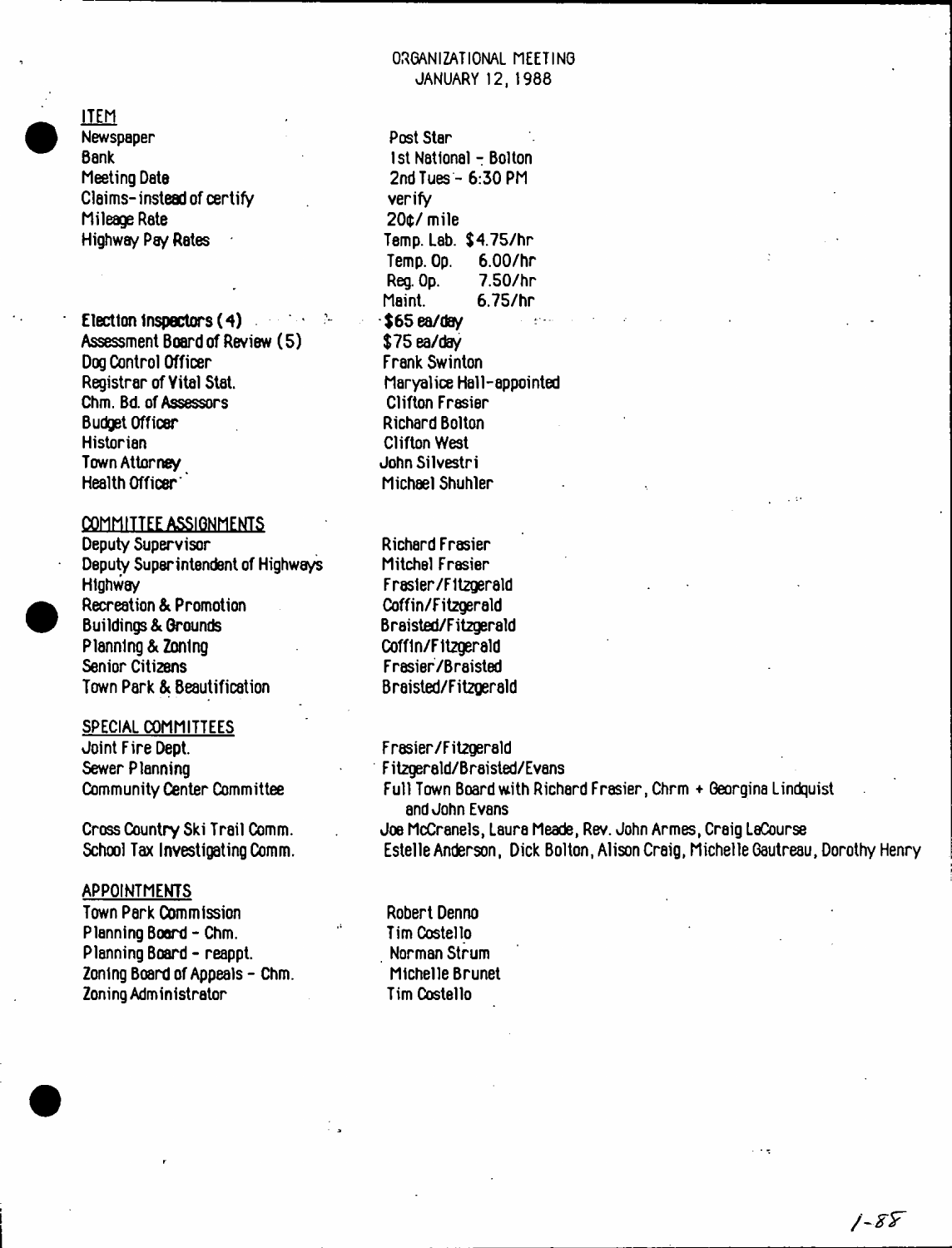

ITEM

Newspaper Bank Meeting Date Claims-instead of certify Mileage Rate Highway Pay Rates

Election inspectors (4) Assessment Board of Review (5) Dog Control Officer Registrar of Yitel Stat. Chm. Bd. of Assessors Budget Officer **Historian** Town Attorney Health Officer'

# COMMITTEE ASSIGNMENTS

Deputy Supervisor Deputy Superintendent of Highways Highway Recreation & Promotion Buildings & Grounds Planning & Zoning Senior Citizens Town Park & Beautification

## SPECIAL COMMITTEES

Joint Fire Dept. Sewer Planning Community Center Committee

Cross Country Ski Trail Comm. School Tax Investigating Comm.

## **APPOINTMENTS**

Town Park Commission Planning Board-Chm. Planning Board - reappt. Zoning Board of Appeals - Chm. Zoning Administrator

Post Star 1st National - Bolton 2ndTues - 6:30 PM verify 200/ mile Temp. Lab. \$4.75/hr Temp. Op. 6.00/hr Reg. Op. 7.50/hr Maint. 6.75/hr \$65ea/day \$75 ea/day Frank Swinton Maryalice Hall-appointed Clifton Frasier Richard Bolton Clifton West JohnSilvestri Michael Shuhler

Richard Frasier Mitchel Frasier F rasler/F itzgerald Coffin/Fitzgerald Braisted/Fitzgerald Coffln/F itzgerald Frasier/Braisted Braisted/Fitzgerald

Frasier/Fitzgerald Fitzgerald/Braisted/Evans Full Town Board with Richard Frasier, Chrm + Georgina Lindquist and John Evans Joe McCranels, Laura Meade, Rev. John Armes, Craig LeCourse Estelle Anderson, Dick Bolton, Alison Craig, Michelle Gautreau, Dorothy Henry

Robert Denno Tim Costello Norman Strum Michelle Brunet Tim Costello